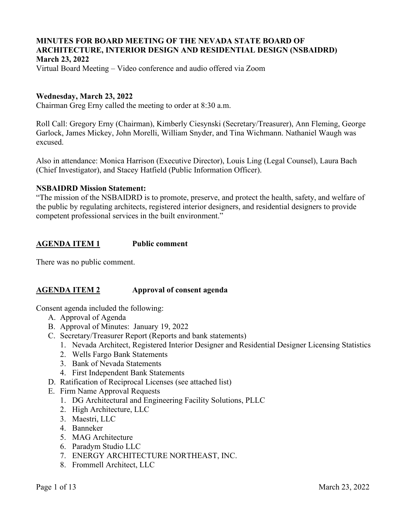# **MINUTES FOR BOARD MEETING OF THE NEVADA STATE BOARD OF ARCHITECTURE, INTERIOR DESIGN AND RESIDENTIAL DESIGN (NSBAIDRD) March 23, 2022**

Virtual Board Meeting – Video conference and audio offered via Zoom

# **Wednesday, March 23, 2022**

Chairman Greg Erny called the meeting to order at 8:30 a.m.

Roll Call: Gregory Erny (Chairman), Kimberly Ciesynski (Secretary/Treasurer), Ann Fleming, George Garlock, James Mickey, John Morelli, William Snyder, and Tina Wichmann. Nathaniel Waugh was excused.

Also in attendance: Monica Harrison (Executive Director), Louis Ling (Legal Counsel), Laura Bach (Chief Investigator), and Stacey Hatfield (Public Information Officer).

#### **NSBAIDRD Mission Statement:**

"The mission of the NSBAIDRD is to promote, preserve, and protect the health, safety, and welfare of the public by regulating architects, registered interior designers, and residential designers to provide competent professional services in the built environment."

#### **AGENDA ITEM 1 Public comment**

There was no public comment.

# **AGENDA ITEM 2 Approval of consent agenda**

Consent agenda included the following:

- A. Approval of Agenda
- B. Approval of Minutes: January 19, 2022
- C. Secretary/Treasurer Report (Reports and bank statements)
	- 1. Nevada Architect, Registered Interior Designer and Residential Designer Licensing Statistics
	- 2. Wells Fargo Bank Statements
	- 3. Bank of Nevada Statements
	- 4. First Independent Bank Statements
- D. Ratification of Reciprocal Licenses (see attached list)
- E. Firm Name Approval Requests
	- 1. DG Architectural and Engineering Facility Solutions, PLLC
	- 2. High Architecture, LLC
	- 3. Maestri, LLC
	- 4. Banneker
	- 5. MAG Architecture
	- 6. Paradym Studio LLC
	- 7. ENERGY ARCHITECTURE NORTHEAST, INC.
	- 8. Frommell Architect, LLC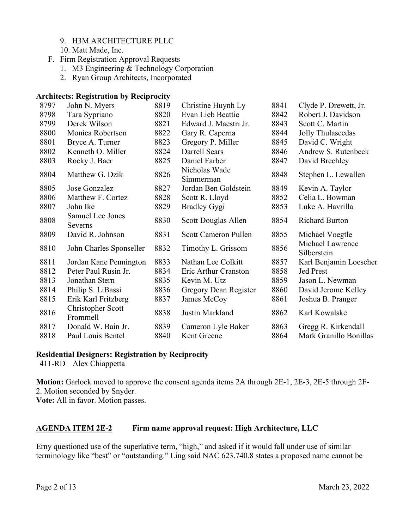- 9. H3M ARCHITECTURE PLLC
- 10. Matt Made, Inc.
- F. Firm Registration Approval Requests
	- 1. M3 Engineering & Technology Corporation
	- 2. Ryan Group Architects, Incorporated

#### **Architects: Registration by Reciprocity**

| John N. Myers                 | 8819 | Christine Huynh Ly         | 8841            | Clyde P. Drewett, Jr.           |
|-------------------------------|------|----------------------------|-----------------|---------------------------------|
| Tara Sypriano                 | 8820 | Evan Lieb Beattie          | 8842            | Robert J. Davidson              |
| Derek Wilson                  | 8821 | Edward J. Maestri Jr.      | 8843            | Scott C. Martin                 |
| Monica Robertson              | 8822 |                            | 8844            | Jolly Thulaseedas               |
| Bryce A. Turner               | 8823 | Gregory P. Miller          | 8845            | David C. Wright                 |
| Kenneth O. Miller             | 8824 | Darrell Sears              | 8846            | Andrew S. Rutenbeck             |
| Rocky J. Baer                 | 8825 | Daniel Farber              | 8847            | David Brechley                  |
| Matthew G. Dzik               | 8826 | Nicholas Wade<br>Simmerman | 8848            | Stephen L. Lewallen             |
| Jose Gonzalez                 | 8827 | Jordan Ben Goldstein       | 8849            | Kevin A. Taylor                 |
| Matthew F. Cortez             | 8828 | Scott R. Lloyd             | 8852            | Celia L. Bowman                 |
| John Ike                      | 8829 | <b>Bradley Gygi</b>        | 8853            | Luke A. Havrilla                |
| Samuel Lee Jones<br>Severns   | 8830 | Scott Douglas Allen        | 8854            | <b>Richard Burton</b>           |
| David R. Johnson              | 8831 | Scott Cameron Pullen       | 8855            | Michael Voegtle                 |
| John Charles Sponseller       | 8832 | Timothy L. Grissom         | 8856            | Michael Lawrence<br>Silberstein |
| Jordan Kane Pennington        | 8833 | Nathan Lee Colkitt         | 8857            | Karl Benjamin Loescher          |
| Peter Paul Rusin Jr.          | 8834 | Eric Arthur Cranston       | 8858            | <b>Jed Prest</b>                |
| Jonathan Stern                | 8835 | Kevin M. Utz               | 8859            | Jason L. Newman                 |
| Philip S. LiBassi             | 8836 | Gregory Dean Register      | 8860            | David Jerome Kelley             |
| Erik Karl Fritzberg           | 8837 | James McCoy                | 8861            | Joshua B. Pranger               |
| Christopher Scott<br>Frommell | 8838 | Justin Markland            | 8862            | Karl Kowalske                   |
| Donald W. Bain Jr.            | 8839 | Cameron Lyle Baker         | 8863            | Gregg R. Kirkendall             |
| Paul Louis Bentel             | 8840 | Kent Greene                | 8864            | Mark Granillo Bonillas          |
|                               |      |                            | Gary R. Caperna |                                 |

#### **Residential Designers: Registration by Reciprocity**

411-RD Alex Chiappetta

**Motion:** Garlock moved to approve the consent agenda items 2A through 2E-1, 2E-3, 2E-5 through 2F-2. Motion seconded by Snyder. **Vote:** All in favor. Motion passes.

# **AGENDA ITEM 2E-2 Firm name approval request: High Architecture, LLC**

Erny questioned use of the superlative term, "high," and asked if it would fall under use of similar terminology like "best" or "outstanding." Ling said NAC 623.740.8 states a proposed name cannot be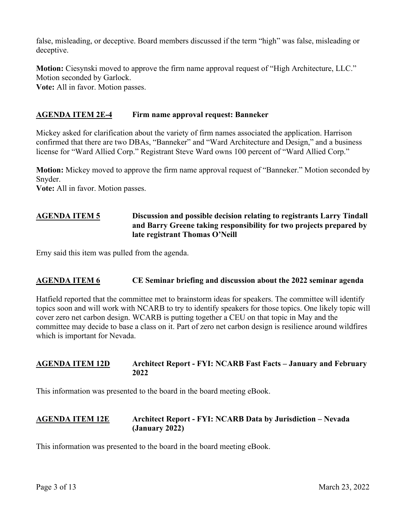false, misleading, or deceptive. Board members discussed if the term "high" was false, misleading or deceptive.

**Motion:** Ciesynski moved to approve the firm name approval request of "High Architecture, LLC." Motion seconded by Garlock.

**Vote:** All in favor. Motion passes.

# **AGENDA ITEM 2E-4 Firm name approval request: Banneker**

Mickey asked for clarification about the variety of firm names associated the application. Harrison confirmed that there are two DBAs, "Banneker" and "Ward Architecture and Design," and a business license for "Ward Allied Corp." Registrant Steve Ward owns 100 percent of "Ward Allied Corp."

**Motion:** Mickey moved to approve the firm name approval request of "Banneker." Motion seconded by Snyder.

**Vote:** All in favor. Motion passes.

# **AGENDA ITEM 5 Discussion and possible decision relating to registrants Larry Tindall and Barry Greene taking responsibility for two projects prepared by late registrant Thomas O'Neill**

Erny said this item was pulled from the agenda.

# **AGENDA ITEM 6 CE Seminar briefing and discussion about the 2022 seminar agenda**

Hatfield reported that the committee met to brainstorm ideas for speakers. The committee will identify topics soon and will work with NCARB to try to identify speakers for those topics. One likely topic will cover zero net carbon design. WCARB is putting together a CEU on that topic in May and the committee may decide to base a class on it. Part of zero net carbon design is resilience around wildfires which is important for Nevada.

# **AGENDA ITEM 12D Architect Report - FYI: NCARB Fast Facts – January and February 2022**

This information was presented to the board in the board meeting eBook.

# **AGENDA ITEM 12E Architect Report - FYI: NCARB Data by Jurisdiction – Nevada (January 2022)**

This information was presented to the board in the board meeting eBook.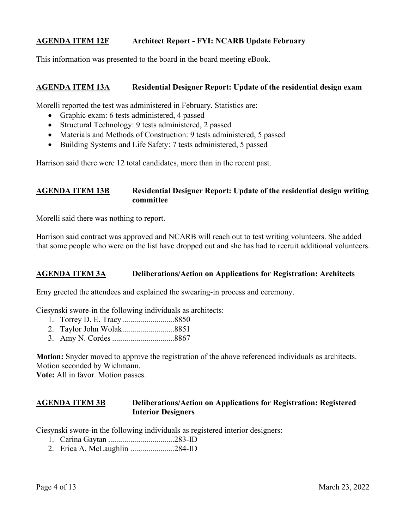# **AGENDA ITEM 12F Architect Report - FYI: NCARB Update February**

This information was presented to the board in the board meeting eBook.

#### **AGENDA ITEM 13A Residential Designer Report: Update of the residential design exam**

Morelli reported the test was administered in February. Statistics are:

- Graphic exam: 6 tests administered, 4 passed
- Structural Technology: 9 tests administered, 2 passed
- Materials and Methods of Construction: 9 tests administered, 5 passed
- Building Systems and Life Safety: 7 tests administered, 5 passed

Harrison said there were 12 total candidates, more than in the recent past.

#### **AGENDA ITEM 13B Residential Designer Report: Update of the residential design writing committee**

Morelli said there was nothing to report.

Harrison said contract was approved and NCARB will reach out to test writing volunteers. She added that some people who were on the list have dropped out and she has had to recruit additional volunteers.

#### **AGENDA ITEM 3A Deliberations/Action on Applications for Registration: Architects**

Erny greeted the attendees and explained the swearing-in process and ceremony.

Ciesynski swore-in the following individuals as architects:

- 1. Torrey D. E. Tracy ..........................8850
- 2. Taylor John Wolak ..........................8851
- 3. Amy N. Cordes ...............................8867

**Motion:** Snyder moved to approve the registration of the above referenced individuals as architects. Motion seconded by Wichmann.

**Vote:** All in favor. Motion passes.

# **AGENDA ITEM 3B Deliberations/Action on Applications for Registration: Registered Interior Designers**

Ciesynski swore-in the following individuals as registered interior designers:

- 1. Carina Gaytan .................................283-ID
- 2. Erica A. McLaughlin ......................284-ID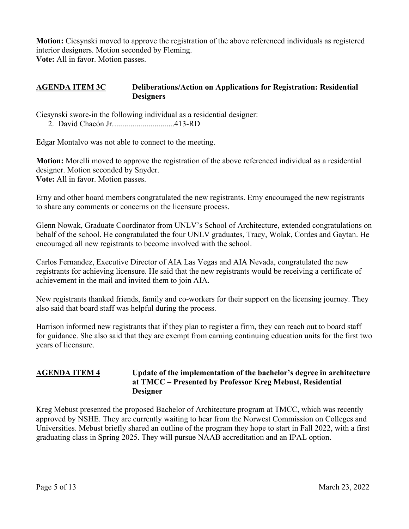**Motion:** Ciesynski moved to approve the registration of the above referenced individuals as registered interior designers. Motion seconded by Fleming. **Vote:** All in favor. Motion passes.

#### **AGENDA ITEM 3C Deliberations/Action on Applications for Registration: Residential Designers**

Ciesynski swore-in the following individual as a residential designer:

2. David Chacón Jr. ..............................413-RD

Edgar Montalvo was not able to connect to the meeting.

**Motion:** Morelli moved to approve the registration of the above referenced individual as a residential designer. Motion seconded by Snyder. **Vote:** All in favor. Motion passes.

Erny and other board members congratulated the new registrants. Erny encouraged the new registrants to share any comments or concerns on the licensure process.

Glenn Nowak, Graduate Coordinator from UNLV's School of Architecture, extended congratulations on behalf of the school. He congratulated the four UNLV graduates, Tracy, Wolak, Cordes and Gaytan. He encouraged all new registrants to become involved with the school.

Carlos Fernandez, Executive Director of AIA Las Vegas and AIA Nevada, congratulated the new registrants for achieving licensure. He said that the new registrants would be receiving a certificate of achievement in the mail and invited them to join AIA.

New registrants thanked friends, family and co-workers for their support on the licensing journey. They also said that board staff was helpful during the process.

Harrison informed new registrants that if they plan to register a firm, they can reach out to board staff for guidance. She also said that they are exempt from earning continuing education units for the first two years of licensure.

# **AGENDA ITEM 4 Update of the implementation of the bachelor's degree in architecture at TMCC – Presented by Professor Kreg Mebust, Residential Designer**

Kreg Mebust presented the proposed Bachelor of Architecture program at TMCC, which was recently approved by NSHE. They are currently waiting to hear from the Norwest Commission on Colleges and Universities. Mebust briefly shared an outline of the program they hope to start in Fall 2022, with a first graduating class in Spring 2025. They will pursue NAAB accreditation and an IPAL option.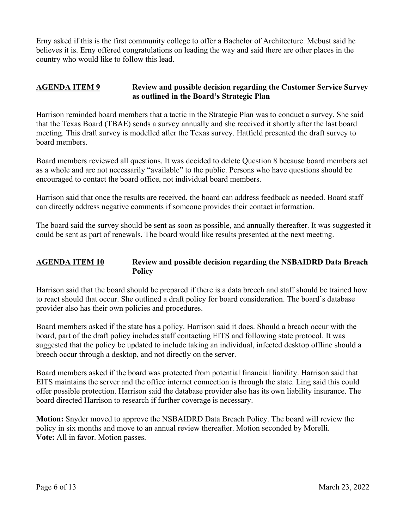Erny asked if this is the first community college to offer a Bachelor of Architecture. Mebust said he believes it is. Erny offered congratulations on leading the way and said there are other places in the country who would like to follow this lead.

#### **AGENDA ITEM 9 Review and possible decision regarding the Customer Service Survey as outlined in the Board's Strategic Plan**

Harrison reminded board members that a tactic in the Strategic Plan was to conduct a survey. She said that the Texas Board (TBAE) sends a survey annually and she received it shortly after the last board meeting. This draft survey is modelled after the Texas survey. Hatfield presented the draft survey to board members.

Board members reviewed all questions. It was decided to delete Question 8 because board members act as a whole and are not necessarily "available" to the public. Persons who have questions should be encouraged to contact the board office, not individual board members.

Harrison said that once the results are received, the board can address feedback as needed. Board staff can directly address negative comments if someone provides their contact information.

The board said the survey should be sent as soon as possible, and annually thereafter. It was suggested it could be sent as part of renewals. The board would like results presented at the next meeting.

# **AGENDA ITEM 10 Review and possible decision regarding the NSBAIDRD Data Breach Policy**

Harrison said that the board should be prepared if there is a data breech and staff should be trained how to react should that occur. She outlined a draft policy for board consideration. The board's database provider also has their own policies and procedures.

Board members asked if the state has a policy. Harrison said it does. Should a breach occur with the board, part of the draft policy includes staff contacting EITS and following state protocol. It was suggested that the policy be updated to include taking an individual, infected desktop offline should a breech occur through a desktop, and not directly on the server.

Board members asked if the board was protected from potential financial liability. Harrison said that EITS maintains the server and the office internet connection is through the state. Ling said this could offer possible protection. Harrison said the database provider also has its own liability insurance. The board directed Harrison to research if further coverage is necessary.

**Motion:** Snyder moved to approve the NSBAIDRD Data Breach Policy. The board will review the policy in six months and move to an annual review thereafter. Motion seconded by Morelli. **Vote:** All in favor. Motion passes.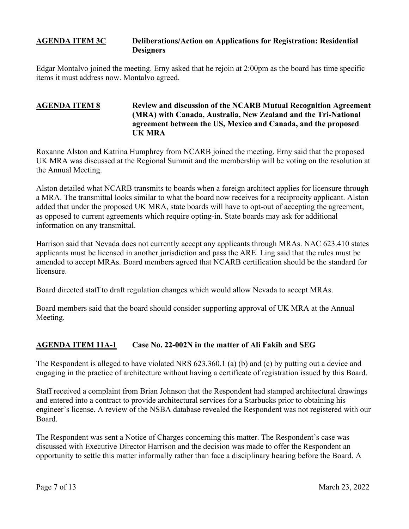#### **AGENDA ITEM 3C Deliberations/Action on Applications for Registration: Residential Designers**

Edgar Montalvo joined the meeting. Erny asked that he rejoin at 2:00pm as the board has time specific items it must address now. Montalvo agreed.

# **AGENDA ITEM 8 Review and discussion of the NCARB Mutual Recognition Agreement (MRA) with Canada, Australia, New Zealand and the Tri-National agreement between the US, Mexico and Canada, and the proposed UK MRA**

Roxanne Alston and Katrina Humphrey from NCARB joined the meeting. Erny said that the proposed UK MRA was discussed at the Regional Summit and the membership will be voting on the resolution at the Annual Meeting.

Alston detailed what NCARB transmits to boards when a foreign architect applies for licensure through a MRA. The transmittal looks similar to what the board now receives for a reciprocity applicant. Alston added that under the proposed UK MRA, state boards will have to opt-out of accepting the agreement, as opposed to current agreements which require opting-in. State boards may ask for additional information on any transmittal.

Harrison said that Nevada does not currently accept any applicants through MRAs. NAC 623.410 states applicants must be licensed in another jurisdiction and pass the ARE. Ling said that the rules must be amended to accept MRAs. Board members agreed that NCARB certification should be the standard for licensure.

Board directed staff to draft regulation changes which would allow Nevada to accept MRAs.

Board members said that the board should consider supporting approval of UK MRA at the Annual Meeting.

# **AGENDA ITEM 11A-1 Case No. 22-002N in the matter of Ali Fakih and SEG**

The Respondent is alleged to have violated NRS 623.360.1 (a) (b) and (c) by putting out a device and engaging in the practice of architecture without having a certificate of registration issued by this Board.

Staff received a complaint from Brian Johnson that the Respondent had stamped architectural drawings and entered into a contract to provide architectural services for a Starbucks prior to obtaining his engineer's license. A review of the NSBA database revealed the Respondent was not registered with our Board.

The Respondent was sent a Notice of Charges concerning this matter. The Respondent's case was discussed with Executive Director Harrison and the decision was made to offer the Respondent an opportunity to settle this matter informally rather than face a disciplinary hearing before the Board. A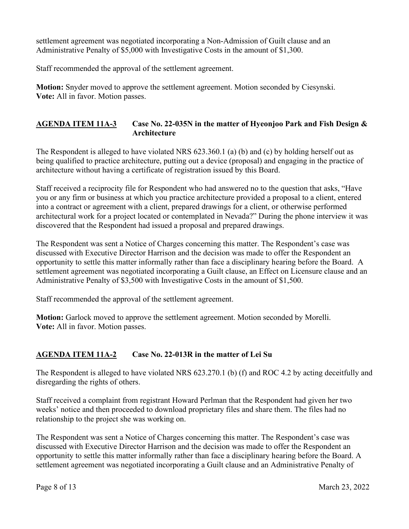settlement agreement was negotiated incorporating a Non-Admission of Guilt clause and an Administrative Penalty of \$5,000 with Investigative Costs in the amount of \$1,300.

Staff recommended the approval of the settlement agreement.

**Motion:** Snyder moved to approve the settlement agreement. Motion seconded by Ciesynski. **Vote:** All in favor. Motion passes.

# **AGENDA ITEM 11A-3 Case No. 22-035N in the matter of Hyeonjoo Park and Fish Design & Architecture**

The Respondent is alleged to have violated NRS 623.360.1 (a) (b) and (c) by holding herself out as being qualified to practice architecture, putting out a device (proposal) and engaging in the practice of architecture without having a certificate of registration issued by this Board.

Staff received a reciprocity file for Respondent who had answered no to the question that asks, "Have you or any firm or business at which you practice architecture provided a proposal to a client, entered into a contract or agreement with a client, prepared drawings for a client, or otherwise performed architectural work for a project located or contemplated in Nevada?" During the phone interview it was discovered that the Respondent had issued a proposal and prepared drawings.

The Respondent was sent a Notice of Charges concerning this matter. The Respondent's case was discussed with Executive Director Harrison and the decision was made to offer the Respondent an opportunity to settle this matter informally rather than face a disciplinary hearing before the Board. A settlement agreement was negotiated incorporating a Guilt clause, an Effect on Licensure clause and an Administrative Penalty of \$3,500 with Investigative Costs in the amount of \$1,500.

Staff recommended the approval of the settlement agreement.

**Motion:** Garlock moved to approve the settlement agreement. Motion seconded by Morelli. **Vote:** All in favor. Motion passes.

# **AGENDA ITEM 11A-2 Case No. 22-013R in the matter of Lei Su**

The Respondent is alleged to have violated NRS 623.270.1 (b) (f) and ROC 4.2 by acting deceitfully and disregarding the rights of others.

Staff received a complaint from registrant Howard Perlman that the Respondent had given her two weeks' notice and then proceeded to download proprietary files and share them. The files had no relationship to the project she was working on.

The Respondent was sent a Notice of Charges concerning this matter. The Respondent's case was discussed with Executive Director Harrison and the decision was made to offer the Respondent an opportunity to settle this matter informally rather than face a disciplinary hearing before the Board. A settlement agreement was negotiated incorporating a Guilt clause and an Administrative Penalty of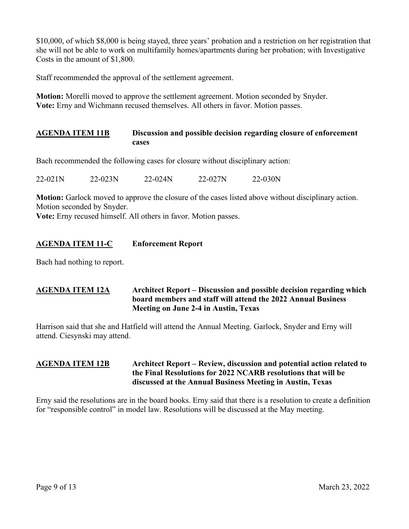\$10,000, of which \$8,000 is being stayed, three years' probation and a restriction on her registration that she will not be able to work on multifamily homes/apartments during her probation; with Investigative Costs in the amount of \$1,800.

Staff recommended the approval of the settlement agreement.

**Motion:** Morelli moved to approve the settlement agreement. Motion seconded by Snyder. **Vote:** Erny and Wichmann recused themselves. All others in favor. Motion passes.

# **AGENDA ITEM 11B Discussion and possible decision regarding closure of enforcement cases**

Bach recommended the following cases for closure without disciplinary action:

22-021N 22-023N 22-024N 22-027N 22-030N

**Motion:** Garlock moved to approve the closure of the cases listed above without disciplinary action. Motion seconded by Snyder.

**Vote:** Erny recused himself. All others in favor. Motion passes.

# **AGENDA ITEM 11-C Enforcement Report**

Bach had nothing to report.

# **AGENDA ITEM 12A Architect Report – Discussion and possible decision regarding which board members and staff will attend the 2022 Annual Business Meeting on June 2-4 in Austin, Texas**

Harrison said that she and Hatfield will attend the Annual Meeting. Garlock, Snyder and Erny will attend. Ciesynski may attend.

# **AGENDA ITEM 12B Architect Report – Review, discussion and potential action related to the Final Resolutions for 2022 NCARB resolutions that will be discussed at the Annual Business Meeting in Austin, Texas**

Erny said the resolutions are in the board books. Erny said that there is a resolution to create a definition for "responsible control" in model law. Resolutions will be discussed at the May meeting.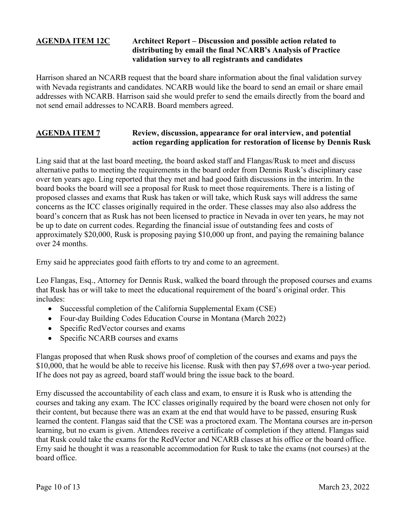#### **AGENDA ITEM 12C Architect Report – Discussion and possible action related to distributing by email the final NCARB's Analysis of Practice validation survey to all registrants and candidates**

Harrison shared an NCARB request that the board share information about the final validation survey with Nevada registrants and candidates. NCARB would like the board to send an email or share email addresses with NCARB. Harrison said she would prefer to send the emails directly from the board and not send email addresses to NCARB. Board members agreed.

#### **AGENDA ITEM 7 Review, discussion, appearance for oral interview, and potential action regarding application for restoration of license by Dennis Rusk**

Ling said that at the last board meeting, the board asked staff and Flangas/Rusk to meet and discuss alternative paths to meeting the requirements in the board order from Dennis Rusk's disciplinary case over ten years ago. Ling reported that they met and had good faith discussions in the interim. In the board books the board will see a proposal for Rusk to meet those requirements. There is a listing of proposed classes and exams that Rusk has taken or will take, which Rusk says will address the same concerns as the ICC classes originally required in the order. These classes may also also address the board's concern that as Rusk has not been licensed to practice in Nevada in over ten years, he may not be up to date on current codes. Regarding the financial issue of outstanding fees and costs of approximately \$20,000, Rusk is proposing paying \$10,000 up front, and paying the remaining balance over 24 months.

Erny said he appreciates good faith efforts to try and come to an agreement.

Leo Flangas, Esq., Attorney for Dennis Rusk, walked the board through the proposed courses and exams that Rusk has or will take to meet the educational requirement of the board's original order. This includes:

- Successful completion of the California Supplemental Exam (CSE)
- Four-day Building Codes Education Course in Montana (March 2022)
- Specific RedVector courses and exams
- Specific NCARB courses and exams

Flangas proposed that when Rusk shows proof of completion of the courses and exams and pays the \$10,000, that he would be able to receive his license. Rusk with then pay \$7,698 over a two-year period. If he does not pay as agreed, board staff would bring the issue back to the board.

Erny discussed the accountability of each class and exam, to ensure it is Rusk who is attending the courses and taking any exam. The ICC classes originally required by the board were chosen not only for their content, but because there was an exam at the end that would have to be passed, ensuring Rusk learned the content. Flangas said that the CSE was a proctored exam. The Montana courses are in-person learning, but no exam is given. Attendees receive a certificate of completion if they attend. Flangas said that Rusk could take the exams for the RedVector and NCARB classes at his office or the board office. Erny said he thought it was a reasonable accommodation for Rusk to take the exams (not courses) at the board office.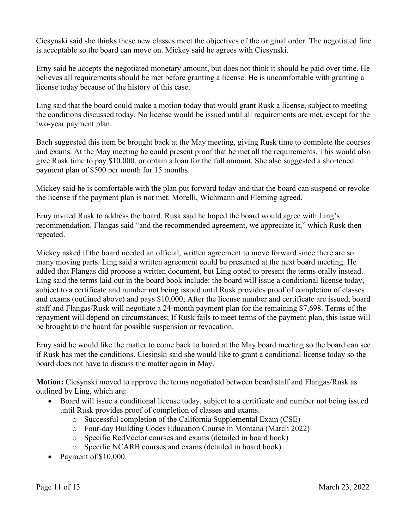Ciesynski said she thinks these new classes meet the objectives of the original order. The negotiated fine is acceptable so the board can move on. Mickey said he agrees with Ciesynski.

Erny said he accepts the negotiated monetary amount, but does not think it should be paid over time. He believes all requirements should be met before granting a license. He is uncomfortable with granting a license today because of the history of this case.

Ling said that the board could make a motion today that would grant Rusk a license, subject to meeting the conditions discussed today. No license would be issued until all requirements are met, except for the two-year payment plan.

Bach suggested this item be brought back at the May meeting, giving Rusk time to complete the courses and exams. At the May meeting he could present proof that he met all the requirements. This would also give Rusk time to pay \$10,000, or obtain a loan for the full amount. She also suggested a shortened payment plan of \$500 per month for 15 months.

Mickey said he is comfortable with the plan put forward today and that the board can suspend or revoke the license if the payment plan is not met. Morelli, Wichmann and Fleming agreed.

Erny invited Rusk to address the board. Rusk said he hoped the board would agree with Ling's recommendation. Flangas said "and the recommended agreement, we appreciate it," which Rusk then repeated.

Mickey asked if the board needed an official, written agreement to move forward since there are so many moving parts. Ling said a written agreement could be presented at the next board meeting. He added that Flangas did propose a written document, but Ling opted to present the terms orally instead. Ling said the terms laid out in the board book include: the board will issue a conditional license today, subject to a certificate and number not being issued until Rusk provides proof of completion of classes and exams (outlined above) and pays \$10,000; After the license number and certificate are issued, board staff and Flangas/Rusk will negotiate a 24-month payment plan for the remaining \$7,698. Terms of the repayment will depend on circumstances; If Rusk fails to meet terms of the payment plan, this issue will be brought to the board for possible suspension or revocation.

Erny said he would like the matter to come back to board at the May board meeting so the board can see if Rusk has met the conditions. Ciesinski said she would like to grant a conditional license today so the board does not have to discuss the matter again in May.

**Motion:** Ciesynski moved to approve the terms negotiated between board staff and Flangas/Rusk as outlined by Ling, which are:

- Board will issue a conditional license today, subject to a certificate and number not being issued until Rusk provides proof of completion of classes and exams.
	- o Successful completion of the California Supplemental Exam (CSE)
	- o Four-day Building Codes Education Course in Montana (March 2022)
	- o Specific RedVector courses and exams (detailed in board book)
	- o Specific NCARB courses and exams (detailed in board book)
- Payment of \$10,000.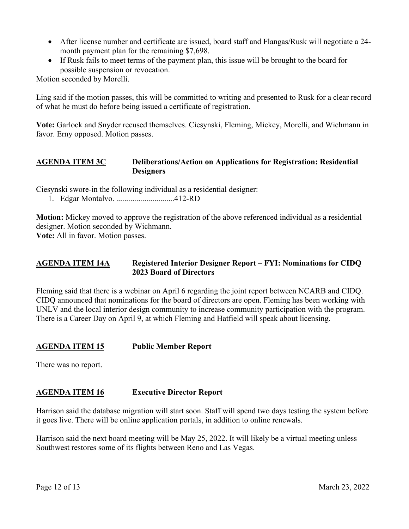- After license number and certificate are issued, board staff and Flangas/Rusk will negotiate a 24 month payment plan for the remaining \$7,698.
- If Rusk fails to meet terms of the payment plan, this issue will be brought to the board for possible suspension or revocation.

Motion seconded by Morelli.

Ling said if the motion passes, this will be committed to writing and presented to Rusk for a clear record of what he must do before being issued a certificate of registration.

**Vote:** Garlock and Snyder recused themselves. Ciesynski, Fleming, Mickey, Morelli, and Wichmann in favor. Erny opposed. Motion passes.

# **AGENDA ITEM 3C Deliberations/Action on Applications for Registration: Residential Designers**

Ciesynski swore-in the following individual as a residential designer:

1. Edgar Montalvo. .............................412-RD

**Motion:** Mickey moved to approve the registration of the above referenced individual as a residential designer. Motion seconded by Wichmann.

**Vote:** All in favor. Motion passes.

# **AGENDA ITEM 14A Registered Interior Designer Report – FYI: Nominations for CIDQ 2023 Board of Directors**

Fleming said that there is a webinar on April 6 regarding the joint report between NCARB and CIDQ. CIDQ announced that nominations for the board of directors are open. Fleming has been working with UNLV and the local interior design community to increase community participation with the program. There is a Career Day on April 9, at which Fleming and Hatfield will speak about licensing.

#### **AGENDA ITEM 15 Public Member Report**

There was no report.

# **AGENDA ITEM 16 Executive Director Report**

Harrison said the database migration will start soon. Staff will spend two days testing the system before it goes live. There will be online application portals, in addition to online renewals.

Harrison said the next board meeting will be May 25, 2022. It will likely be a virtual meeting unless Southwest restores some of its flights between Reno and Las Vegas.